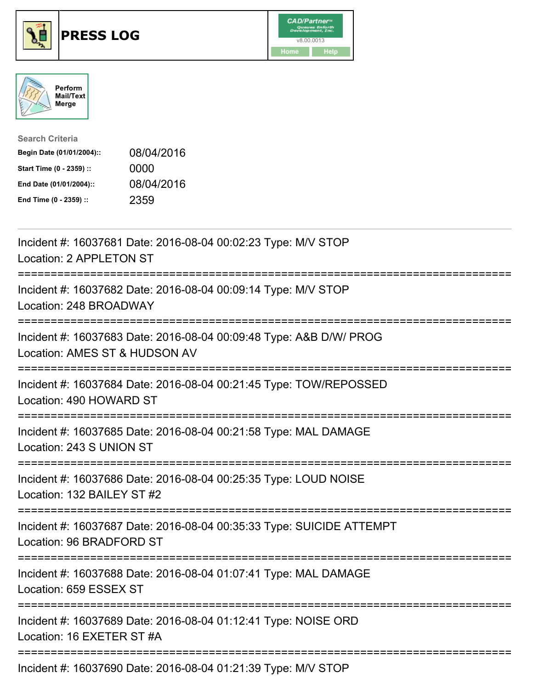





| <b>Search Criteria</b>    |            |
|---------------------------|------------|
| Begin Date (01/01/2004):: | 08/04/2016 |
| Start Time (0 - 2359) ::  | 0000       |
| End Date (01/01/2004)::   | 08/04/2016 |
| End Time (0 - 2359) ::    | 2359       |

| Incident #: 16037681 Date: 2016-08-04 00:02:23 Type: M/V STOP<br>Location: 2 APPLETON ST                |
|---------------------------------------------------------------------------------------------------------|
| Incident #: 16037682 Date: 2016-08-04 00:09:14 Type: M/V STOP<br>Location: 248 BROADWAY                 |
| Incident #: 16037683 Date: 2016-08-04 00:09:48 Type: A&B D/W/ PROG<br>Location: AMES ST & HUDSON AV     |
| Incident #: 16037684 Date: 2016-08-04 00:21:45 Type: TOW/REPOSSED<br>Location: 490 HOWARD ST            |
| Incident #: 16037685 Date: 2016-08-04 00:21:58 Type: MAL DAMAGE<br>Location: 243 S UNION ST             |
| Incident #: 16037686 Date: 2016-08-04 00:25:35 Type: LOUD NOISE<br>Location: 132 BAILEY ST #2           |
| Incident #: 16037687 Date: 2016-08-04 00:35:33 Type: SUICIDE ATTEMPT<br>Location: 96 BRADFORD ST        |
| Incident #: 16037688 Date: 2016-08-04 01:07:41 Type: MAL DAMAGE<br>Location: 659 ESSEX ST               |
| Incident #: 16037689 Date: 2016-08-04 01:12:41 Type: NOISE ORD<br>Location: 16 EXETER ST #A             |
| :=====================================<br>Incident #: 16037690 Date: 2016-08-04 01:21:39 Type: M/V STOP |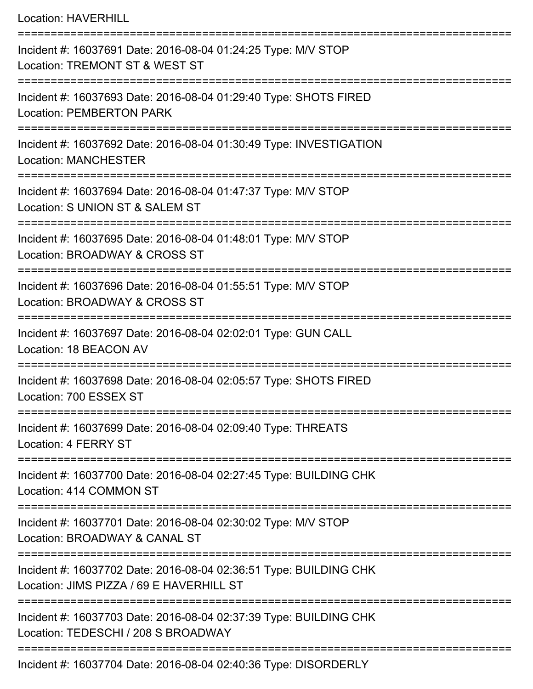| <b>Location: HAVERHILL</b>                                                                                                          |
|-------------------------------------------------------------------------------------------------------------------------------------|
| Incident #: 16037691 Date: 2016-08-04 01:24:25 Type: M/V STOP<br>Location: TREMONT ST & WEST ST<br>---------------------            |
| Incident #: 16037693 Date: 2016-08-04 01:29:40 Type: SHOTS FIRED<br><b>Location: PEMBERTON PARK</b>                                 |
| Incident #: 16037692 Date: 2016-08-04 01:30:49 Type: INVESTIGATION<br><b>Location: MANCHESTER</b><br>:============================= |
| Incident #: 16037694 Date: 2016-08-04 01:47:37 Type: M/V STOP<br>Location: S UNION ST & SALEM ST                                    |
| Incident #: 16037695 Date: 2016-08-04 01:48:01 Type: M/V STOP<br>Location: BROADWAY & CROSS ST                                      |
| Incident #: 16037696 Date: 2016-08-04 01:55:51 Type: M/V STOP<br>Location: BROADWAY & CROSS ST                                      |
| Incident #: 16037697 Date: 2016-08-04 02:02:01 Type: GUN CALL<br>Location: 18 BEACON AV                                             |
| Incident #: 16037698 Date: 2016-08-04 02:05:57 Type: SHOTS FIRED<br>Location: 700 ESSEX ST                                          |
| :================================<br>Incident #: 16037699 Date: 2016-08-04 02:09:40 Type: THREATS<br>Location: 4 FERRY ST           |
| ==================<br>Incident #: 16037700 Date: 2016-08-04 02:27:45 Type: BUILDING CHK<br>Location: 414 COMMON ST                  |
| Incident #: 16037701 Date: 2016-08-04 02:30:02 Type: M/V STOP<br>Location: BROADWAY & CANAL ST                                      |
| Incident #: 16037702 Date: 2016-08-04 02:36:51 Type: BUILDING CHK<br>Location: JIMS PIZZA / 69 E HAVERHILL ST                       |
| Incident #: 16037703 Date: 2016-08-04 02:37:39 Type: BUILDING CHK<br>Location: TEDESCHI / 208 S BROADWAY                            |
| Incident #: 16037704 Date: 2016-08-04 02:40:36 Type: DISORDERLY                                                                     |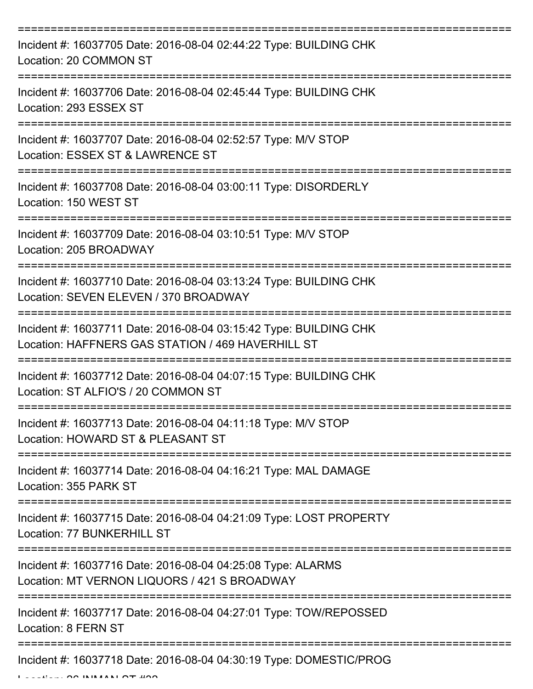| Incident #: 16037705 Date: 2016-08-04 02:44:22 Type: BUILDING CHK<br>Location: 20 COMMON ST                                    |
|--------------------------------------------------------------------------------------------------------------------------------|
| Incident #: 16037706 Date: 2016-08-04 02:45:44 Type: BUILDING CHK<br>Location: 293 ESSEX ST                                    |
| Incident #: 16037707 Date: 2016-08-04 02:52:57 Type: M/V STOP<br>Location: ESSEX ST & LAWRENCE ST                              |
| Incident #: 16037708 Date: 2016-08-04 03:00:11 Type: DISORDERLY<br>Location: 150 WEST ST                                       |
| Incident #: 16037709 Date: 2016-08-04 03:10:51 Type: M/V STOP<br>Location: 205 BROADWAY<br>=============                       |
| Incident #: 16037710 Date: 2016-08-04 03:13:24 Type: BUILDING CHK<br>Location: SEVEN ELEVEN / 370 BROADWAY<br>.--------------- |
| Incident #: 16037711 Date: 2016-08-04 03:15:42 Type: BUILDING CHK<br>Location: HAFFNERS GAS STATION / 469 HAVERHILL ST         |
| Incident #: 16037712 Date: 2016-08-04 04:07:15 Type: BUILDING CHK<br>Location: ST ALFIO'S / 20 COMMON ST                       |
| Incident #: 16037713 Date: 2016-08-04 04:11:18 Type: M/V STOP<br>Location: HOWARD ST & PLEASANT ST                             |
| Incident #: 16037714 Date: 2016-08-04 04:16:21 Type: MAL DAMAGE<br>Location: 355 PARK ST                                       |
| Incident #: 16037715 Date: 2016-08-04 04:21:09 Type: LOST PROPERTY<br>Location: 77 BUNKERHILL ST                               |
| Incident #: 16037716 Date: 2016-08-04 04:25:08 Type: ALARMS<br>Location: MT VERNON LIQUORS / 421 S BROADWAY                    |
| Incident #: 16037717 Date: 2016-08-04 04:27:01 Type: TOW/REPOSSED<br>Location: 8 FERN ST                                       |
| Incident #: 16037718 Date: 2016-08-04 04:30:19 Type: DOMESTIC/PROG                                                             |

 $L = L L L L L$   $\Omega$   $\Omega$  INMANI $\Omega$   $\mathbf{T}$   $\mathbf{H}$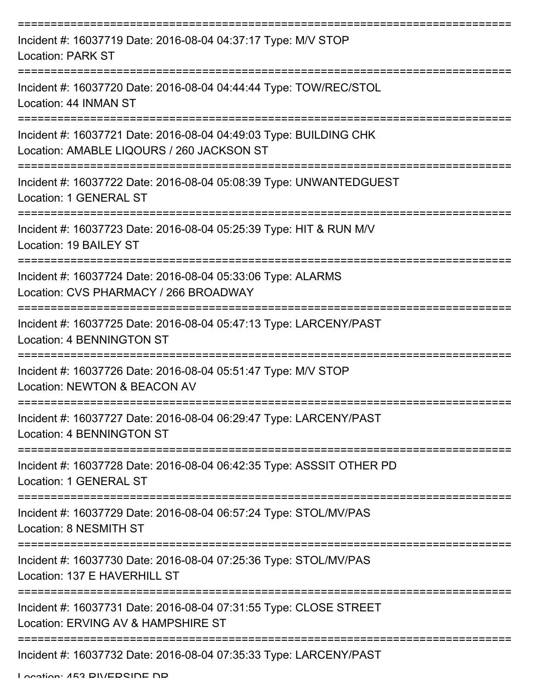| Incident #: 16037719 Date: 2016-08-04 04:37:17 Type: M/V STOP<br><b>Location: PARK ST</b>                      |
|----------------------------------------------------------------------------------------------------------------|
| Incident #: 16037720 Date: 2016-08-04 04:44:44 Type: TOW/REC/STOL<br>Location: 44 INMAN ST                     |
| Incident #: 16037721 Date: 2016-08-04 04:49:03 Type: BUILDING CHK<br>Location: AMABLE LIQOURS / 260 JACKSON ST |
| Incident #: 16037722 Date: 2016-08-04 05:08:39 Type: UNWANTEDGUEST<br>Location: 1 GENERAL ST                   |
| Incident #: 16037723 Date: 2016-08-04 05:25:39 Type: HIT & RUN M/V<br>Location: 19 BAILEY ST                   |
| Incident #: 16037724 Date: 2016-08-04 05:33:06 Type: ALARMS<br>Location: CVS PHARMACY / 266 BROADWAY           |
| Incident #: 16037725 Date: 2016-08-04 05:47:13 Type: LARCENY/PAST<br>Location: 4 BENNINGTON ST                 |
| Incident #: 16037726 Date: 2016-08-04 05:51:47 Type: M/V STOP<br>Location: NEWTON & BEACON AV                  |
| Incident #: 16037727 Date: 2016-08-04 06:29:47 Type: LARCENY/PAST<br>Location: 4 BENNINGTON ST                 |
| Incident #: 16037728 Date: 2016-08-04 06:42:35 Type: ASSSIT OTHER PD<br>Location: 1 GENERAL ST                 |
| Incident #: 16037729 Date: 2016-08-04 06:57:24 Type: STOL/MV/PAS<br>Location: 8 NESMITH ST                     |
| Incident #: 16037730 Date: 2016-08-04 07:25:36 Type: STOL/MV/PAS<br>Location: 137 E HAVERHILL ST               |
| Incident #: 16037731 Date: 2016-08-04 07:31:55 Type: CLOSE STREET<br>Location: ERVING AV & HAMPSHIRE ST        |
| Incident #: 16037732 Date: 2016-08-04 07:35:33 Type: LARCENY/PAST                                              |

Location: 453 DIVEDOINE ND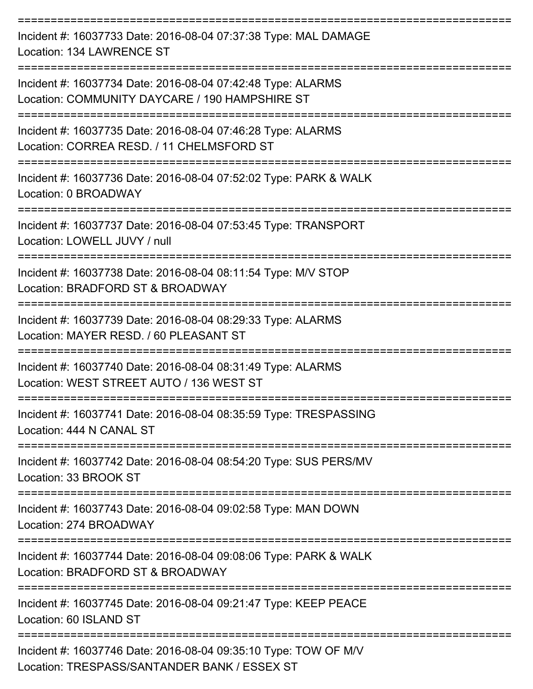| Incident #: 16037733 Date: 2016-08-04 07:37:38 Type: MAL DAMAGE<br>Location: 134 LAWRENCE ST                    |
|-----------------------------------------------------------------------------------------------------------------|
| Incident #: 16037734 Date: 2016-08-04 07:42:48 Type: ALARMS<br>Location: COMMUNITY DAYCARE / 190 HAMPSHIRE ST   |
| Incident #: 16037735 Date: 2016-08-04 07:46:28 Type: ALARMS<br>Location: CORREA RESD. / 11 CHELMSFORD ST        |
| Incident #: 16037736 Date: 2016-08-04 07:52:02 Type: PARK & WALK<br>Location: 0 BROADWAY                        |
| Incident #: 16037737 Date: 2016-08-04 07:53:45 Type: TRANSPORT<br>Location: LOWELL JUVY / null                  |
| Incident #: 16037738 Date: 2016-08-04 08:11:54 Type: M/V STOP<br>Location: BRADFORD ST & BROADWAY               |
| Incident #: 16037739 Date: 2016-08-04 08:29:33 Type: ALARMS<br>Location: MAYER RESD. / 60 PLEASANT ST           |
| Incident #: 16037740 Date: 2016-08-04 08:31:49 Type: ALARMS<br>Location: WEST STREET AUTO / 136 WEST ST         |
| Incident #: 16037741 Date: 2016-08-04 08:35:59 Type: TRESPASSING<br>Location: 444 N CANAL ST                    |
| =================<br>Incident #: 16037742 Date: 2016-08-04 08:54:20 Type: SUS PERS/MV<br>Location: 33 BROOK ST  |
| Incident #: 16037743 Date: 2016-08-04 09:02:58 Type: MAN DOWN<br>Location: 274 BROADWAY                         |
| Incident #: 16037744 Date: 2016-08-04 09:08:06 Type: PARK & WALK<br>Location: BRADFORD ST & BROADWAY            |
| Incident #: 16037745 Date: 2016-08-04 09:21:47 Type: KEEP PEACE<br>Location: 60 ISLAND ST                       |
| Incident #: 16037746 Date: 2016-08-04 09:35:10 Type: TOW OF M/V<br>Location: TRESPASS/SANTANDER BANK / ESSEX ST |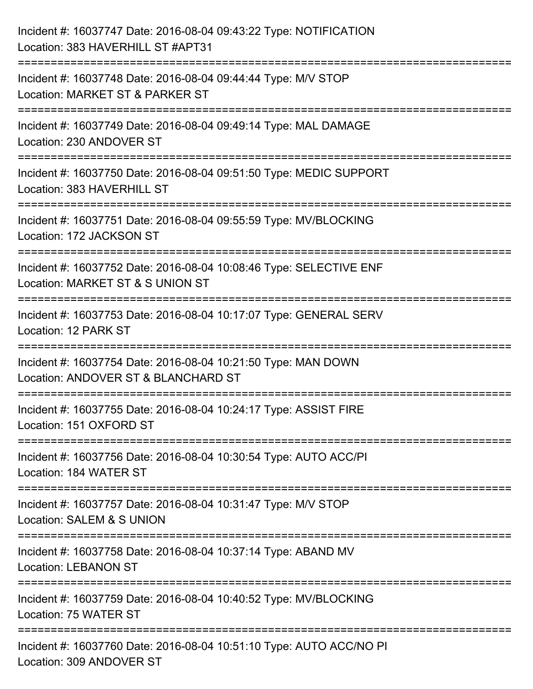| Incident #: 16037747 Date: 2016-08-04 09:43:22 Type: NOTIFICATION<br>Location: 383 HAVERHILL ST #APT31                                                           |
|------------------------------------------------------------------------------------------------------------------------------------------------------------------|
| :=================================<br>Incident #: 16037748 Date: 2016-08-04 09:44:44 Type: M/V STOP<br>Location: MARKET ST & PARKER ST<br>---------------------- |
| Incident #: 16037749 Date: 2016-08-04 09:49:14 Type: MAL DAMAGE<br>Location: 230 ANDOVER ST                                                                      |
| Incident #: 16037750 Date: 2016-08-04 09:51:50 Type: MEDIC SUPPORT<br>Location: 383 HAVERHILL ST                                                                 |
| Incident #: 16037751 Date: 2016-08-04 09:55:59 Type: MV/BLOCKING<br>Location: 172 JACKSON ST                                                                     |
| Incident #: 16037752 Date: 2016-08-04 10:08:46 Type: SELECTIVE ENF<br>Location: MARKET ST & S UNION ST                                                           |
| Incident #: 16037753 Date: 2016-08-04 10:17:07 Type: GENERAL SERV<br>Location: 12 PARK ST                                                                        |
| Incident #: 16037754 Date: 2016-08-04 10:21:50 Type: MAN DOWN<br>Location: ANDOVER ST & BLANCHARD ST                                                             |
| Incident #: 16037755 Date: 2016-08-04 10:24:17 Type: ASSIST FIRE<br>Location: 151 OXFORD ST                                                                      |
| Incident #: 16037756 Date: 2016-08-04 10:30:54 Type: AUTO ACC/PI<br>Location: 184 WATER ST                                                                       |
| Incident #: 16037757 Date: 2016-08-04 10:31:47 Type: M/V STOP<br>Location: SALEM & S UNION                                                                       |
| Incident #: 16037758 Date: 2016-08-04 10:37:14 Type: ABAND MV<br><b>Location: LEBANON ST</b>                                                                     |
| Incident #: 16037759 Date: 2016-08-04 10:40:52 Type: MV/BLOCKING<br>Location: 75 WATER ST                                                                        |
| Incident #: 16037760 Date: 2016-08-04 10:51:10 Type: AUTO ACC/NO PI<br>Location: 309 ANDOVER ST                                                                  |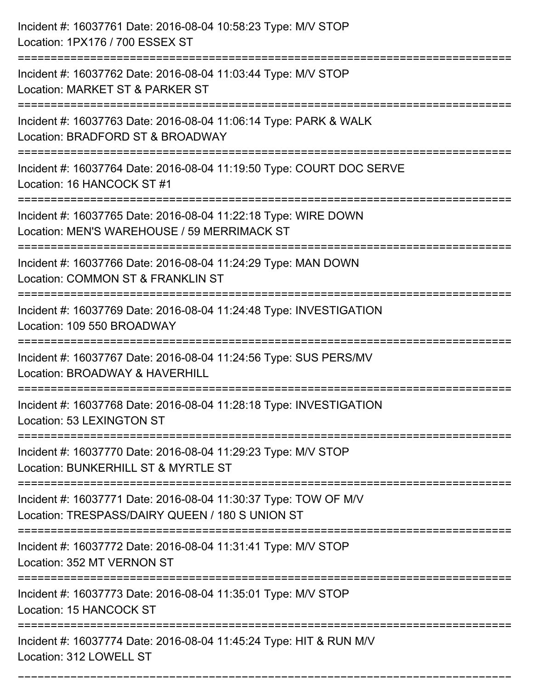| Incident #: 16037761 Date: 2016-08-04 10:58:23 Type: M/V STOP<br>Location: 1PX176 / 700 ESSEX ST                                             |
|----------------------------------------------------------------------------------------------------------------------------------------------|
| :=======================<br>Incident #: 16037762 Date: 2016-08-04 11:03:44 Type: M/V STOP<br>Location: MARKET ST & PARKER ST                 |
| Incident #: 16037763 Date: 2016-08-04 11:06:14 Type: PARK & WALK<br>Location: BRADFORD ST & BROADWAY<br>:===============================     |
| Incident #: 16037764 Date: 2016-08-04 11:19:50 Type: COURT DOC SERVE<br>Location: 16 HANCOCK ST #1                                           |
| Incident #: 16037765 Date: 2016-08-04 11:22:18 Type: WIRE DOWN<br>Location: MEN'S WAREHOUSE / 59 MERRIMACK ST<br>=========================== |
| Incident #: 16037766 Date: 2016-08-04 11:24:29 Type: MAN DOWN<br>Location: COMMON ST & FRANKLIN ST                                           |
| Incident #: 16037769 Date: 2016-08-04 11:24:48 Type: INVESTIGATION<br>Location: 109 550 BROADWAY                                             |
| Incident #: 16037767 Date: 2016-08-04 11:24:56 Type: SUS PERS/MV<br>Location: BROADWAY & HAVERHILL                                           |
| Incident #: 16037768 Date: 2016-08-04 11:28:18 Type: INVESTIGATION<br>Location: 53 LEXINGTON ST                                              |
| Incident #: 16037770 Date: 2016-08-04 11:29:23 Type: M/V STOP<br>Location: BUNKERHILL ST & MYRTLE ST                                         |
| Incident #: 16037771 Date: 2016-08-04 11:30:37 Type: TOW OF M/V<br>Location: TRESPASS/DAIRY QUEEN / 180 S UNION ST                           |
| Incident #: 16037772 Date: 2016-08-04 11:31:41 Type: M/V STOP<br>Location: 352 MT VERNON ST                                                  |
| Incident #: 16037773 Date: 2016-08-04 11:35:01 Type: M/V STOP<br>Location: 15 HANCOCK ST                                                     |
| Incident #: 16037774 Date: 2016-08-04 11:45:24 Type: HIT & RUN M/V<br>Location: 312 LOWELL ST                                                |

===========================================================================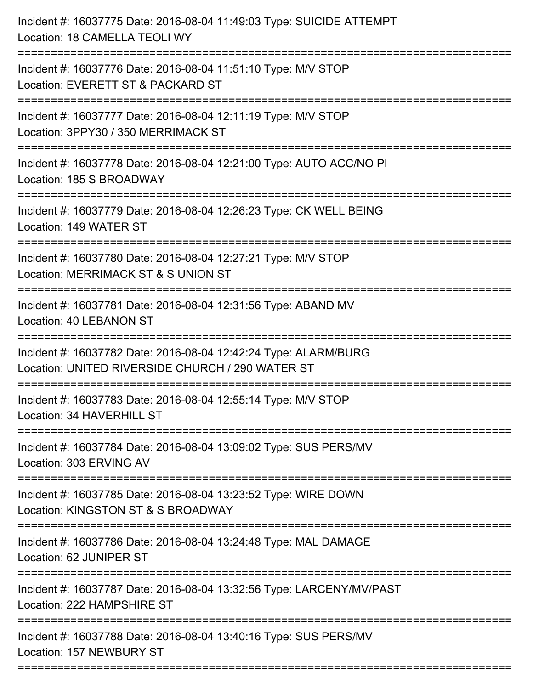| Incident #: 16037775 Date: 2016-08-04 11:49:03 Type: SUICIDE ATTEMPT<br>Location: 18 CAMELLA TEOLI WY                 |
|-----------------------------------------------------------------------------------------------------------------------|
| Incident #: 16037776 Date: 2016-08-04 11:51:10 Type: M/V STOP<br>Location: EVERETT ST & PACKARD ST                    |
| Incident #: 16037777 Date: 2016-08-04 12:11:19 Type: M/V STOP<br>Location: 3PPY30 / 350 MERRIMACK ST                  |
| Incident #: 16037778 Date: 2016-08-04 12:21:00 Type: AUTO ACC/NO PI<br>Location: 185 S BROADWAY                       |
| Incident #: 16037779 Date: 2016-08-04 12:26:23 Type: CK WELL BEING<br>Location: 149 WATER ST                          |
| Incident #: 16037780 Date: 2016-08-04 12:27:21 Type: M/V STOP<br>Location: MERRIMACK ST & S UNION ST                  |
| Incident #: 16037781 Date: 2016-08-04 12:31:56 Type: ABAND MV<br><b>Location: 40 LEBANON ST</b>                       |
| Incident #: 16037782 Date: 2016-08-04 12:42:24 Type: ALARM/BURG<br>Location: UNITED RIVERSIDE CHURCH / 290 WATER ST   |
| Incident #: 16037783 Date: 2016-08-04 12:55:14 Type: M/V STOP<br>Location: 34 HAVERHILL ST                            |
| Incident #: 16037784 Date: 2016-08-04 13:09:02 Type: SUS PERS/MV<br>Location: 303 ERVING AV                           |
| Incident #: 16037785 Date: 2016-08-04 13:23:52 Type: WIRE DOWN<br>Location: KINGSTON ST & S BROADWAY                  |
| Incident #: 16037786 Date: 2016-08-04 13:24:48 Type: MAL DAMAGE<br>Location: 62 JUNIPER ST                            |
| Incident #: 16037787 Date: 2016-08-04 13:32:56 Type: LARCENY/MV/PAST<br>Location: 222 HAMPSHIRE ST                    |
| ---------------------<br>Incident #: 16037788 Date: 2016-08-04 13:40:16 Type: SUS PERS/MV<br>Location: 157 NEWBURY ST |
|                                                                                                                       |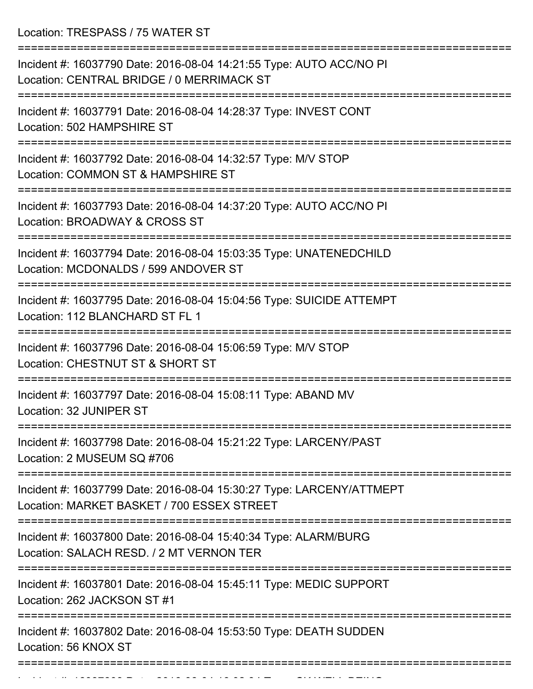Location: TRESPASS / 75 WATER ST

| Incident #: 16037790 Date: 2016-08-04 14:21:55 Type: AUTO ACC/NO PI<br>Location: CENTRAL BRIDGE / 0 MERRIMACK ST   |
|--------------------------------------------------------------------------------------------------------------------|
| Incident #: 16037791 Date: 2016-08-04 14:28:37 Type: INVEST CONT<br>Location: 502 HAMPSHIRE ST                     |
| Incident #: 16037792 Date: 2016-08-04 14:32:57 Type: M/V STOP<br>Location: COMMON ST & HAMPSHIRE ST                |
| Incident #: 16037793 Date: 2016-08-04 14:37:20 Type: AUTO ACC/NO PI<br>Location: BROADWAY & CROSS ST               |
| Incident #: 16037794 Date: 2016-08-04 15:03:35 Type: UNATENEDCHILD<br>Location: MCDONALDS / 599 ANDOVER ST         |
| Incident #: 16037795 Date: 2016-08-04 15:04:56 Type: SUICIDE ATTEMPT<br>Location: 112 BLANCHARD ST FL 1            |
| Incident #: 16037796 Date: 2016-08-04 15:06:59 Type: M/V STOP<br>Location: CHESTNUT ST & SHORT ST                  |
| Incident #: 16037797 Date: 2016-08-04 15:08:11 Type: ABAND MV<br>Location: 32 JUNIPER ST                           |
| Incident #: 16037798 Date: 2016-08-04 15:21:22 Type: LARCENY/PAST<br>Location: 2 MUSEUM SQ #706                    |
| Incident #: 16037799 Date: 2016-08-04 15:30:27 Type: LARCENY/ATTMEPT<br>Location: MARKET BASKET / 700 ESSEX STREET |
| Incident #: 16037800 Date: 2016-08-04 15:40:34 Type: ALARM/BURG<br>Location: SALACH RESD, / 2 MT VERNON TER        |
| Incident #: 16037801 Date: 2016-08-04 15:45:11 Type: MEDIC SUPPORT<br>Location: 262 JACKSON ST #1                  |
| Incident #: 16037802 Date: 2016-08-04 15:53:50 Type: DEATH SUDDEN<br>Location: 56 KNOX ST                          |
|                                                                                                                    |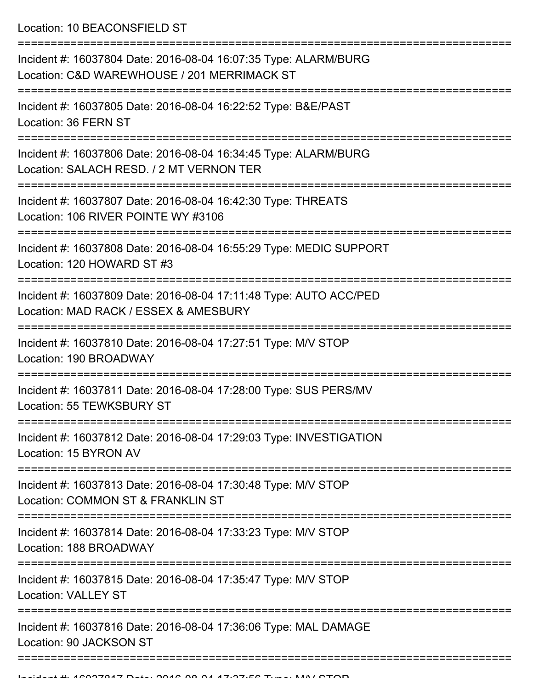Location: 10 BEACONSFIELD ST

| Incident #: 16037804 Date: 2016-08-04 16:07:35 Type: ALARM/BURG<br>Location: C&D WAREWHOUSE / 201 MERRIMACK ST |
|----------------------------------------------------------------------------------------------------------------|
| Incident #: 16037805 Date: 2016-08-04 16:22:52 Type: B&E/PAST<br>Location: 36 FERN ST                          |
| Incident #: 16037806 Date: 2016-08-04 16:34:45 Type: ALARM/BURG<br>Location: SALACH RESD. / 2 MT VERNON TER    |
| Incident #: 16037807 Date: 2016-08-04 16:42:30 Type: THREATS<br>Location: 106 RIVER POINTE WY #3106            |
| Incident #: 16037808 Date: 2016-08-04 16:55:29 Type: MEDIC SUPPORT<br>Location: 120 HOWARD ST #3               |
| Incident #: 16037809 Date: 2016-08-04 17:11:48 Type: AUTO ACC/PED<br>Location: MAD RACK / ESSEX & AMESBURY     |
| Incident #: 16037810 Date: 2016-08-04 17:27:51 Type: M/V STOP<br>Location: 190 BROADWAY                        |
| Incident #: 16037811 Date: 2016-08-04 17:28:00 Type: SUS PERS/MV<br>Location: 55 TEWKSBURY ST                  |
| Incident #: 16037812 Date: 2016-08-04 17:29:03 Type: INVESTIGATION<br>Location: 15 BYRON AV                    |
| Incident #: 16037813 Date: 2016-08-04 17:30:48 Type: M/V STOP<br>Location: COMMON ST & FRANKLIN ST             |
| Incident #: 16037814 Date: 2016-08-04 17:33:23 Type: M/V STOP<br>Location: 188 BROADWAY                        |
| Incident #: 16037815 Date: 2016-08-04 17:35:47 Type: M/V STOP<br><b>Location: VALLEY ST</b>                    |
| Incident #: 16037816 Date: 2016-08-04 17:36:06 Type: MAL DAMAGE<br>Location: 90 JACKSON ST                     |
|                                                                                                                |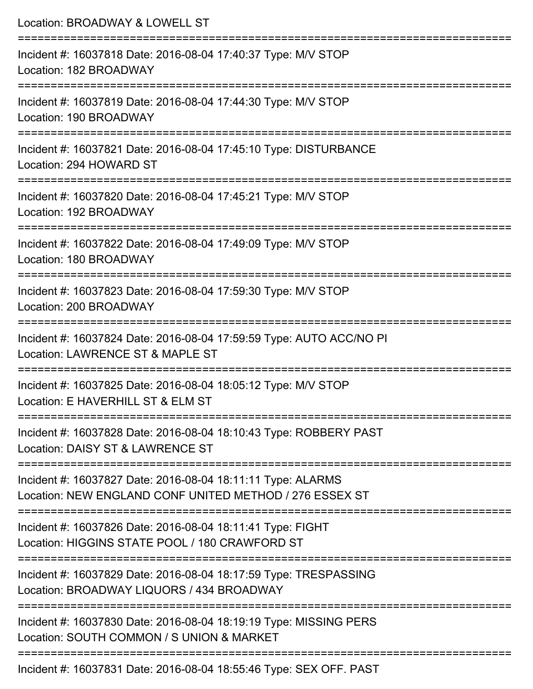| Location: BROADWAY & LOWELL ST                                                                                                                                                                                                                             |
|------------------------------------------------------------------------------------------------------------------------------------------------------------------------------------------------------------------------------------------------------------|
| Incident #: 16037818 Date: 2016-08-04 17:40:37 Type: M/V STOP<br>Location: 182 BROADWAY                                                                                                                                                                    |
| Incident #: 16037819 Date: 2016-08-04 17:44:30 Type: M/V STOP<br>Location: 190 BROADWAY                                                                                                                                                                    |
| Incident #: 16037821 Date: 2016-08-04 17:45:10 Type: DISTURBANCE<br>Location: 294 HOWARD ST                                                                                                                                                                |
| :===================================<br>Incident #: 16037820 Date: 2016-08-04 17:45:21 Type: M/V STOP<br>Location: 192 BROADWAY                                                                                                                            |
| Incident #: 16037822 Date: 2016-08-04 17:49:09 Type: M/V STOP<br>Location: 180 BROADWAY                                                                                                                                                                    |
| ==========================<br>Incident #: 16037823 Date: 2016-08-04 17:59:30 Type: M/V STOP<br>Location: 200 BROADWAY                                                                                                                                      |
| Incident #: 16037824 Date: 2016-08-04 17:59:59 Type: AUTO ACC/NO PI<br>Location: LAWRENCE ST & MAPLE ST                                                                                                                                                    |
| Incident #: 16037825 Date: 2016-08-04 18:05:12 Type: M/V STOP<br>Location: E HAVERHILL ST & ELM ST                                                                                                                                                         |
| Incident #: 16037828 Date: 2016-08-04 18:10:43 Type: ROBBERY PAST<br>Location: DAISY ST & LAWRENCE ST                                                                                                                                                      |
| Incident #: 16037827 Date: 2016-08-04 18:11:11 Type: ALARMS<br>Location: NEW ENGLAND CONF UNITED METHOD / 276 ESSEX ST                                                                                                                                     |
| Incident #: 16037826 Date: 2016-08-04 18:11:41 Type: FIGHT<br>Location: HIGGINS STATE POOL / 180 CRAWFORD ST                                                                                                                                               |
| Incident #: 16037829 Date: 2016-08-04 18:17:59 Type: TRESPASSING<br>Location: BROADWAY LIQUORS / 434 BROADWAY                                                                                                                                              |
| Incident #: 16037830 Date: 2016-08-04 18:19:19 Type: MISSING PERS<br>Location: SOUTH COMMON / S UNION & MARKET                                                                                                                                             |
| $\ddot{a}$ and $\ddot{a}$ are contracted and $\ddot{a}$ are contracted and $\ddot{a}$ and $\ddot{a}$ are $\ddot{a}$ and $\ddot{a}$ and $\ddot{a}$ are $\ddot{a}$ and $\ddot{a}$ and $\ddot{a}$ are $\ddot{a}$ and $\ddot{a}$ and $\ddot{a}$ are $\ddot{a}$ |

Incident #: 16037831 Date: 2016-08-04 18:55:46 Type: SEX OFF. PAST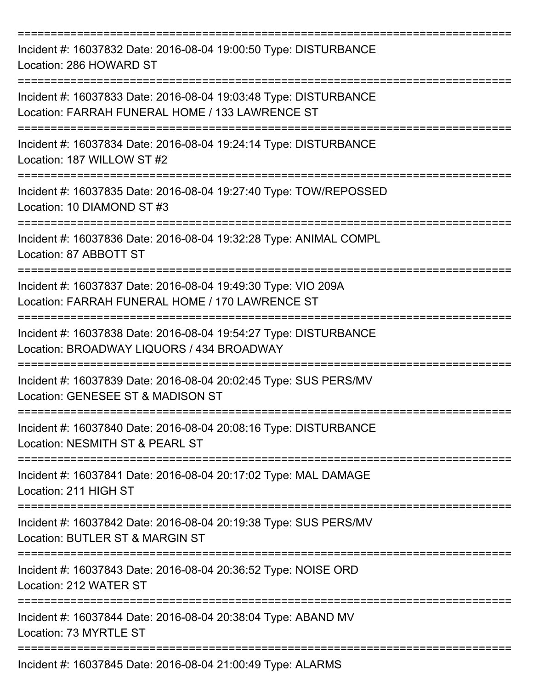| Incident #: 16037832 Date: 2016-08-04 19:00:50 Type: DISTURBANCE<br>Location: 286 HOWARD ST                                                |
|--------------------------------------------------------------------------------------------------------------------------------------------|
| Incident #: 16037833 Date: 2016-08-04 19:03:48 Type: DISTURBANCE<br>Location: FARRAH FUNERAL HOME / 133 LAWRENCE ST                        |
| Incident #: 16037834 Date: 2016-08-04 19:24:14 Type: DISTURBANCE<br>Location: 187 WILLOW ST #2                                             |
| Incident #: 16037835 Date: 2016-08-04 19:27:40 Type: TOW/REPOSSED<br>Location: 10 DIAMOND ST #3                                            |
| Incident #: 16037836 Date: 2016-08-04 19:32:28 Type: ANIMAL COMPL<br>Location: 87 ABBOTT ST                                                |
| Incident #: 16037837 Date: 2016-08-04 19:49:30 Type: VIO 209A<br>Location: FARRAH FUNERAL HOME / 170 LAWRENCE ST                           |
| Incident #: 16037838 Date: 2016-08-04 19:54:27 Type: DISTURBANCE<br>Location: BROADWAY LIQUORS / 434 BROADWAY                              |
| Incident #: 16037839 Date: 2016-08-04 20:02:45 Type: SUS PERS/MV<br>Location: GENESEE ST & MADISON ST                                      |
| ===================================<br>Incident #: 16037840 Date: 2016-08-04 20:08:16 Type: DISTURBANCE<br>Location: NESMITH ST & PEARL ST |
| Incident #: 16037841 Date: 2016-08-04 20:17:02 Type: MAL DAMAGE<br>Location: 211 HIGH ST                                                   |
| Incident #: 16037842 Date: 2016-08-04 20:19:38 Type: SUS PERS/MV<br>Location: BUTLER ST & MARGIN ST                                        |
| Incident #: 16037843 Date: 2016-08-04 20:36:52 Type: NOISE ORD<br>Location: 212 WATER ST                                                   |
| Incident #: 16037844 Date: 2016-08-04 20:38:04 Type: ABAND MV<br>Location: 73 MYRTLE ST                                                    |
| Incident #: 16037845 Date: 2016-08-04 21:00:49 Type: ALARMS                                                                                |